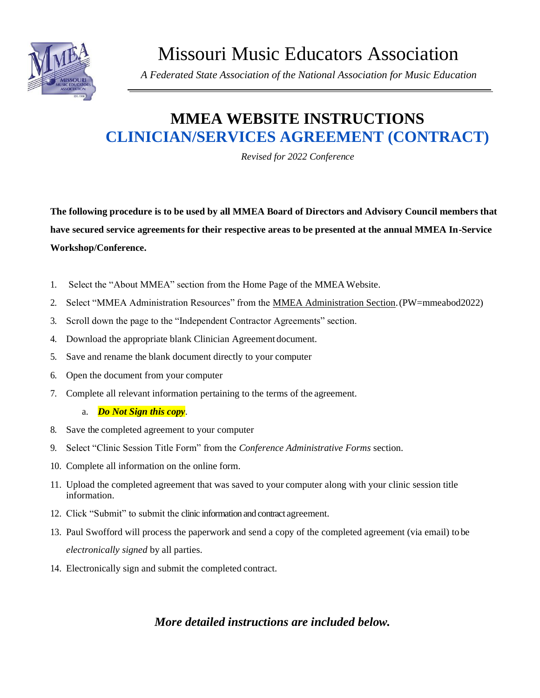

*A Federated State Association of the National Association for Music Education*

# **MMEA WEBSITE INSTRUCTIONS CLINICIAN/SERVICES AGREEMENT (CONTRACT)**

*Revised for 2022 Conference*

**The following procedure is to be used by all MMEA Board of Directors and Advisory Council members that have secured service agreements for their respective areas to be presented at the annual MMEA In-Service Workshop/Conference.**

- 1. Select the "About MMEA" section from the Home Page of the MMEA Website.
- 2. Select "MMEA Administration Resources" from the MMEA Administration Section.(PW=mmeabod2022)
- 3. Scroll down the page to the "Independent Contractor Agreements" section.
- 4. Download the appropriate blank Clinician Agreement document.
- 5. Save and rename the blank document directly to your computer
- 6. Open the document from your computer
- 7. Complete all relevant information pertaining to the terms of the agreement.

### a. *Do Not Sign this copy*.

- 8. Save the completed agreement to your computer
- 9. Select "Clinic Session Title Form" from the *Conference Administrative Forms* section.
- 10. Complete all information on the online form.
- 11. Upload the completed agreement that was saved to your computer along with your clinic session title information.
- 12. Click "Submit" to submit the clinic information and contract agreement.
- 13. Paul Swofford will process the paperwork and send a copy of the completed agreement (via email) to be *electronically signed* by all parties.
- 14. Electronically sign and submit the completed contract.

# *More detailed instructions are included below.*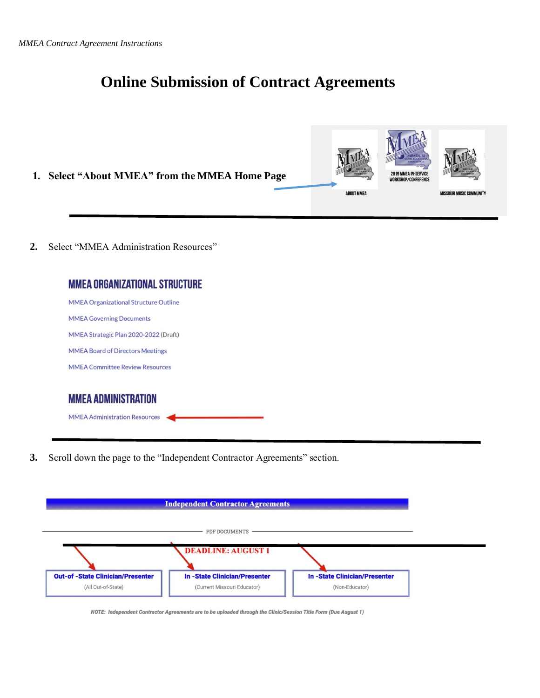# **Online Submission of Contract Agreements**



**2.** Select "MMEA Administration Resources"

| <b>MMEA ORGANIZATIONAL STRUCTURE</b>         |
|----------------------------------------------|
| <b>MMEA Organizational Structure Outline</b> |
| <b>MMEA Governing Documents</b>              |
| MMEA Strategic Plan 2020-2022 (Draft)        |
| <b>MMEA Board of Directors Meetings</b>      |
| <b>MMFA Committee Review Resources</b>       |
| <b>MMEA ADMINISTRATION</b>                   |
|                                              |
| <b>MMEA Administration Resources</b>         |

**3.** Scroll down the page to the "Independent Contractor Agreements" section.

|                                                               | <b>Independent Contractor Agreements</b>                            |                                                        |
|---------------------------------------------------------------|---------------------------------------------------------------------|--------------------------------------------------------|
|                                                               | PDF DOCUMENTS                                                       |                                                        |
|                                                               | <b>DEADLINE: AUGUST 1</b>                                           |                                                        |
| <b>Out-of-State Clinician/Presenter</b><br>(All Out-of-State) | <b>In -State Clinician/Presenter</b><br>(Current Missouri Educator) | <b>In -State Clinician/Presenter</b><br>(Non-Educator) |

NOTE: Independent Contractor Agreements are to be uploaded through the Clinic/Session Title Form (Due August 1)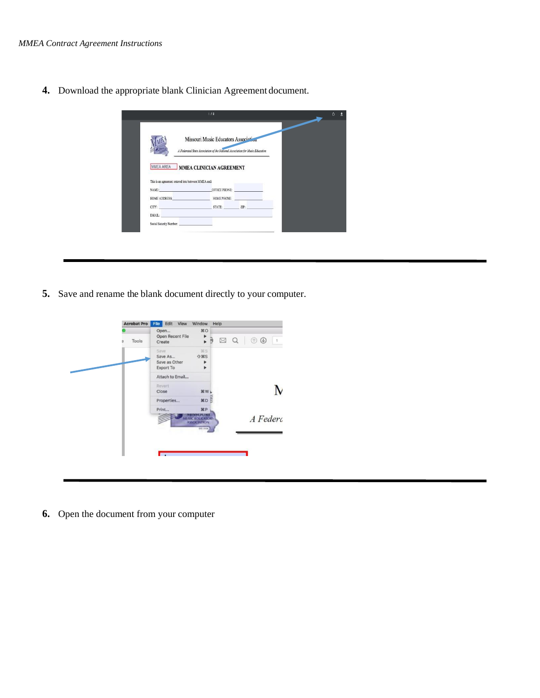**4.** Download the appropriate blank Clinician Agreement document.

|                                                                                                                                                                                                                                                                                       | Missouri Music Educators Association<br>A Federated State Association of the National Association for Music Education |  |
|---------------------------------------------------------------------------------------------------------------------------------------------------------------------------------------------------------------------------------------------------------------------------------------|-----------------------------------------------------------------------------------------------------------------------|--|
| MMEA AREA                                                                                                                                                                                                                                                                             | MMEA CLINICIAN AGREEMENT                                                                                              |  |
| This is an agreement entered into between MMEA and:<br>NAME: We have a state of the state of the state of the state of the state of the state of the state of the state of the state of the state of the state of the state of the state of the state of the state of the state of th | OFFICE PHONE:<br>HOME ADDRESS: HOME PHONE:                                                                            |  |
|                                                                                                                                                                                                                                                                                       | CITY: ZIP: ZIP:                                                                                                       |  |

**5.** Save and rename the blank document directly to your computer.

| <b>Acrobat Pro</b> | File            | Edit                                  | View             | Window                                                   |   | Help |     |   |          |
|--------------------|-----------------|---------------------------------------|------------------|----------------------------------------------------------|---|------|-----|---|----------|
| Tools              |                 | Open<br>Create                        | Open Recent File | 80<br>٠<br>k.                                            | B |      | ⊠ Q | O |          |
|                    | Save            | Save As<br>Save as Other<br>Export To |                  | <b>HS</b><br>$0$ $8S$<br>٠<br>ь                          |   |      |     |   |          |
|                    |                 |                                       | Attach to Email  |                                                          |   |      |     |   |          |
|                    | Revert<br>Close |                                       |                  | 第W)                                                      |   |      |     |   |          |
|                    |                 | Properties                            |                  | <b>XDE</b>                                               |   |      |     |   |          |
|                    |                 | Print                                 |                  | $_{\rm{HP}}$                                             |   |      |     |   |          |
|                    |                 |                                       |                  | MINNUUKI<br><b>MUSIC EDUCATORS</b><br><b>ASSOCIATION</b> |   |      |     |   | A Federc |
|                    |                 |                                       |                  | <b>EST. FR18</b>                                         |   |      |     |   |          |
|                    |                 |                                       |                  |                                                          |   |      |     |   |          |
|                    |                 |                                       |                  |                                                          |   |      |     |   |          |
|                    |                 |                                       |                  |                                                          |   |      |     |   |          |

**6.** Open the document from your computer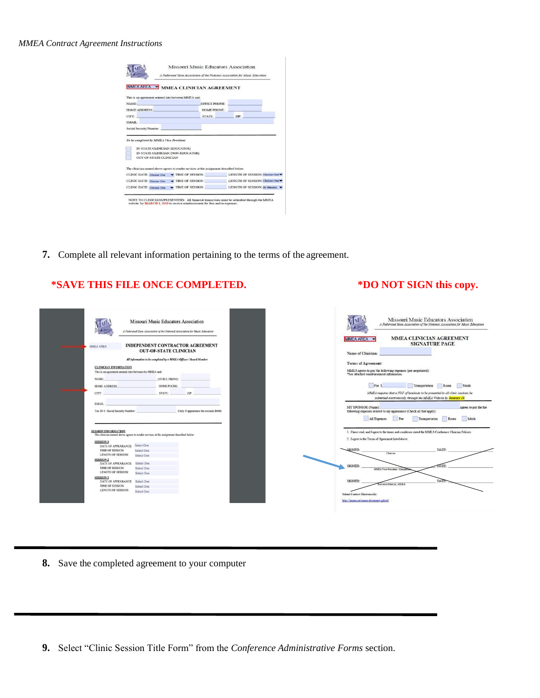#### *MMEA Contract Agreement Instructions*

|                                                                                                                                                                                                                                     | MMEA AREA V MMEA CLINICIAN AGREEMENT                                                   |                                                |
|-------------------------------------------------------------------------------------------------------------------------------------------------------------------------------------------------------------------------------------|----------------------------------------------------------------------------------------|------------------------------------------------|
| This is an agreement entered into between MMEA and:                                                                                                                                                                                 |                                                                                        |                                                |
| NAME <sup>-</sup>                                                                                                                                                                                                                   | <b>OFFICE PHONE:</b>                                                                   |                                                |
| HOME ADDRESS: The contract of the contract of the contract of the contract of the contract of the contract of the contract of the contract of the contract of the contract of the contract of the contract of the contract of       | HOME PHONE                                                                             |                                                |
| <b>CITY:</b> The contract of the contract of the contract of the contract of the contract of the contract of the contract of the contract of the contract of the contract of the contract of the contract of the contract of the co | STATE:                                                                                 | ZIP                                            |
|                                                                                                                                                                                                                                     |                                                                                        |                                                |
|                                                                                                                                                                                                                                     |                                                                                        |                                                |
| <b>EMAIL:</b><br>Social Security Number: North Security Number:                                                                                                                                                                     |                                                                                        |                                                |
|                                                                                                                                                                                                                                     |                                                                                        |                                                |
|                                                                                                                                                                                                                                     |                                                                                        |                                                |
|                                                                                                                                                                                                                                     |                                                                                        |                                                |
| To be completed by MMEA Vice-President<br>IN-STATE CLINICIAN (EDUCATOR)<br>IN-STATE CLINICIAN (NON-EDUCATOR)                                                                                                                        |                                                                                        |                                                |
| <b>OUT-OF-STATE CLINICIAN</b>                                                                                                                                                                                                       |                                                                                        |                                                |
|                                                                                                                                                                                                                                     |                                                                                        |                                                |
|                                                                                                                                                                                                                                     | The clinician named above agrees to render services at the assignment described below: |                                                |
| <b>CLINIC DATE:</b> Choose One                                                                                                                                                                                                      |                                                                                        | TIME OF SESSION: LENGTH OF SESSION: Choose One |
| CLINIC DATE: Choose One                                                                                                                                                                                                             | $\blacktriangleright$ TIME OF SESSION:                                                 | LENGTH OF SESSION: Choose One                  |

**7.** Complete all relevant information pertaining to the terms of the agreement.

## **\*SAVE THIS FILE ONCE COMPLETED. \*DO NOT SIGN this copy.**



**8.** Save the completed agreement to your computer

**9.** Select "Clinic Session Title Form" from the *Conference Administrative Forms* section.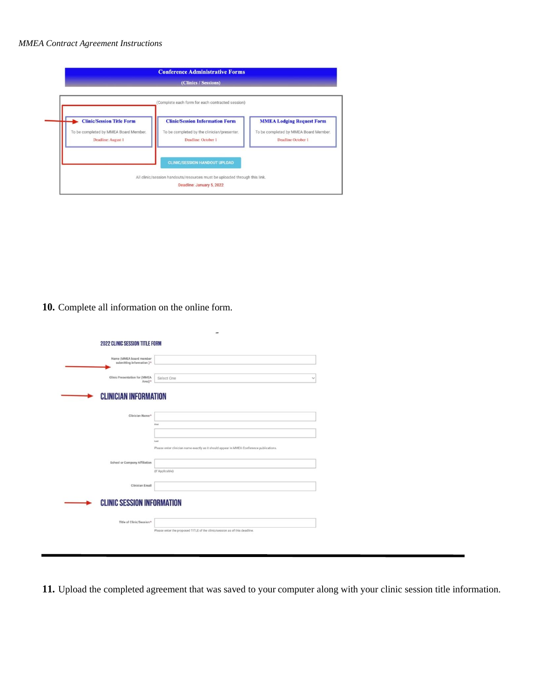### *MMEA Contract Agreement Instructions*

|                                                                                                 | (Complete each form for each contracted session)                                                             |                                                                                                 |
|-------------------------------------------------------------------------------------------------|--------------------------------------------------------------------------------------------------------------|-------------------------------------------------------------------------------------------------|
| <b>Clinic/Session Title Form</b><br>To be completed by MMEA Board Member.<br>Deadline: August 1 | <b>Clinic/Session Information Form</b><br>To be completed by the clinician/presenter.<br>Deadline: October 1 | <b>MMEA Lodging Request Form</b><br>To be completed by MMEA Board Member.<br>Deadline October 1 |
|                                                                                                 | <b>CLINIC/SESSION HANDOUT UPLOAD</b>                                                                         |                                                                                                 |

**10.** Complete all information on the online form.

|                                                            | $\sim$                                                                                           |  |
|------------------------------------------------------------|--------------------------------------------------------------------------------------------------|--|
| <b>2022 CLINIC SESSION TITLE FORM</b>                      |                                                                                                  |  |
| Name (MMEA board member<br>submitting information.)*       |                                                                                                  |  |
| <b>Clinic Presentation for (MMEA</b><br>Area) <sup>*</sup> | Select One<br>$\sim$                                                                             |  |
| <b>CLINICIAN INFORMATION</b>                               |                                                                                                  |  |
| Clinician Name*                                            |                                                                                                  |  |
|                                                            | First                                                                                            |  |
|                                                            | Last<br>Please enter clinician name exactly as it should appear in MMEA Conference publications. |  |
| School or Company Affiliation                              |                                                                                                  |  |
| <b>Clinician Email</b>                                     | (if Applicable)                                                                                  |  |
|                                                            |                                                                                                  |  |
| <b>CLINIC SESSION INFORMATION</b>                          |                                                                                                  |  |
| Title of Clinic/Session*                                   | Please enter the proposed TITLE of the clinic/session as of this deadline.                       |  |
|                                                            |                                                                                                  |  |

**11.** Upload the completed agreement that was saved to your computer along with your clinic session title information.